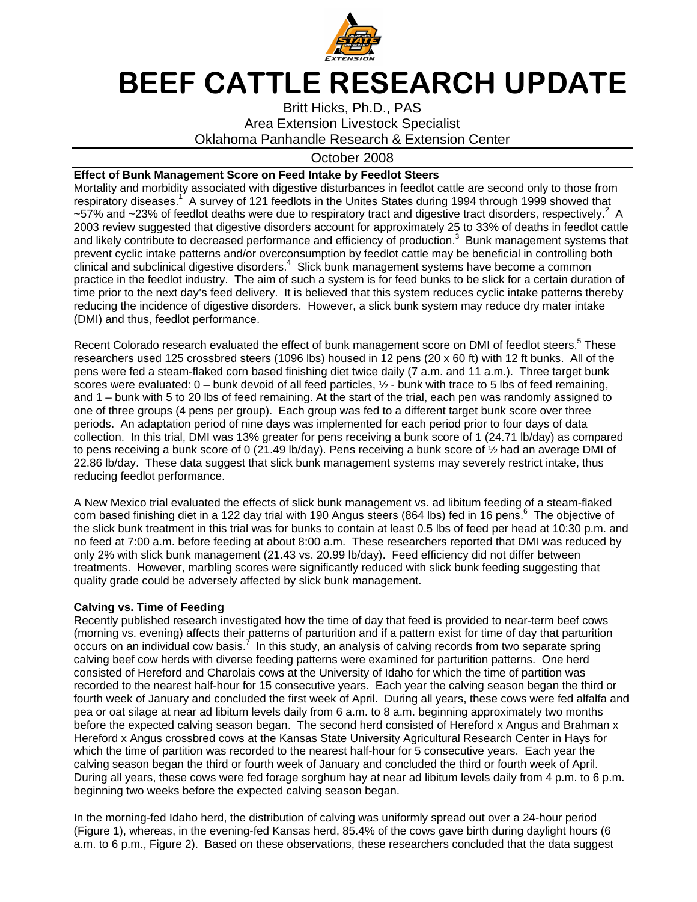

## BEEF CATTLE RESEARCH UPDATE

Britt Hicks, Ph.D., PAS Area Extension Livestock Specialist Oklahoma Panhandle Research & Extension Center

## October 2008

## **Effect of Bunk Management Score on Feed Intake by Feedlot Steers**

Mortality and morbidity associated with digestive disturbances in feedlot cattle are second only to those from respiratory diseases.<sup>1</sup> A survey of 121 feedlots in the Unites States during 1994 through 1999 showed that ~57% and ~23% of feedlot deaths were due to respiratory tract and digestive tract disorders, respectively.<sup>2</sup> A 2003 review suggested that digestive disorders account for approximately 25 to 33% of deaths in feedlot cattle and likely contribute to decreased performance and efficiency of production.<sup>3</sup> Bunk management systems that prevent cyclic intake patterns and/or overconsumption by feedlot cattle may be beneficial in controlling both clinical and subclinical digestive disorders. $4$  Slick bunk management systems have become a common practice in the feedlot industry. The aim of such a system is for feed bunks to be slick for a certain duration of time prior to the next day's feed delivery. It is believed that this system reduces cyclic intake patterns thereby reducing the incidence of digestive disorders. However, a slick bunk system may reduce dry mater intake (DMI) and thus, feedlot performance.

Recent Colorado research evaluated the effect of bunk management score on DMI of feedlot steers.<sup>5</sup> These researchers used 125 crossbred steers (1096 lbs) housed in 12 pens (20 x 60 ft) with 12 ft bunks. All of the pens were fed a steam-flaked corn based finishing diet twice daily (7 a.m. and 11 a.m.). Three target bunk scores were evaluated:  $0 -$  bunk devoid of all feed particles,  $\frac{1}{2}$  - bunk with trace to 5 lbs of feed remaining. and 1 – bunk with 5 to 20 lbs of feed remaining. At the start of the trial, each pen was randomly assigned to one of three groups (4 pens per group). Each group was fed to a different target bunk score over three periods. An adaptation period of nine days was implemented for each period prior to four days of data collection. In this trial, DMI was 13% greater for pens receiving a bunk score of 1 (24.71 lb/day) as compared to pens receiving a bunk score of 0 (21.49 lb/day). Pens receiving a bunk score of ½ had an average DMI of 22.86 lb/day. These data suggest that slick bunk management systems may severely restrict intake, thus reducing feedlot performance.

A New Mexico trial evaluated the effects of slick bunk management vs. ad libitum feeding of a steam-flaked corn based finishing diet in a 122 day trial with 190 Angus steers (864 lbs) fed in 16 pens.<sup>6</sup> The objective of the slick bunk treatment in this trial was for bunks to contain at least 0.5 lbs of feed per head at 10:30 p.m. and no feed at 7:00 a.m. before feeding at about 8:00 a.m. These researchers reported that DMI was reduced by only 2% with slick bunk management (21.43 vs. 20.99 lb/day). Feed efficiency did not differ between treatments. However, marbling scores were significantly reduced with slick bunk feeding suggesting that quality grade could be adversely affected by slick bunk management.

## **Calving vs. Time of Feeding**

Recently published research investigated how the time of day that feed is provided to near-term beef cows (morning vs. evening) affects their patterns of parturition and if a pattern exist for time of day that parturition  $\overline{\text{occurs}}$  on an individual cow basis.<sup>7</sup> In this study, an analysis of calving records from two separate spring calving beef cow herds with diverse feeding patterns were examined for parturition patterns. One herd consisted of Hereford and Charolais cows at the University of Idaho for which the time of partition was recorded to the nearest half-hour for 15 consecutive years. Each year the calving season began the third or fourth week of January and concluded the first week of April. During all years, these cows were fed alfalfa and pea or oat silage at near ad libitum levels daily from 6 a.m. to 8 a.m. beginning approximately two months before the expected calving season began. The second herd consisted of Hereford x Angus and Brahman x Hereford x Angus crossbred cows at the Kansas State University Agricultural Research Center in Hays for which the time of partition was recorded to the nearest half-hour for 5 consecutive years. Each year the calving season began the third or fourth week of January and concluded the third or fourth week of April. During all years, these cows were fed forage sorghum hay at near ad libitum levels daily from 4 p.m. to 6 p.m. beginning two weeks before the expected calving season began.

In the morning-fed Idaho herd, the distribution of calving was uniformly spread out over a 24-hour period (Figure 1), whereas, in the evening-fed Kansas herd, 85.4% of the cows gave birth during daylight hours (6 a.m. to 6 p.m., Figure 2). Based on these observations, these researchers concluded that the data suggest